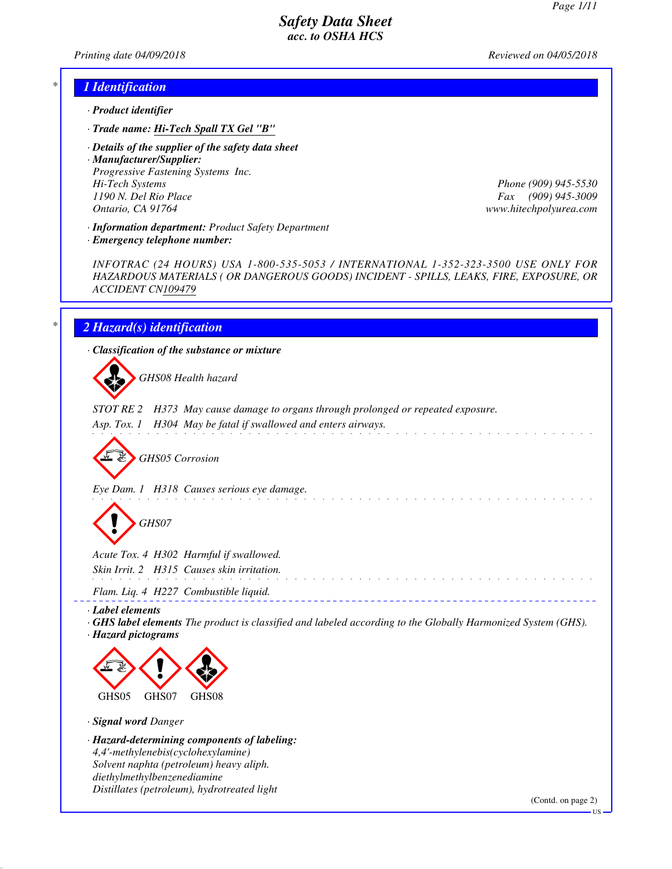*Printing date 04/09/2018 Reviewed on 04/05/2018*

#### *\* 1 Identification*

- *· Product identifier*
- *· Trade name: Hi-Tech Spall TX Gel "B"*
- *· Details of the supplier of the safety data sheet*

*· Manufacturer/Supplier: Progressive Fastening Systems Inc. Hi-Tech Systems Phone (909) 945-5530 1190 N. Del Rio Place Fax (909) 945-3009 Ontario, CA 91764 www.hitechpolyurea.com*

*· Information department: Product Safety Department*

*· Emergency telephone number:*

*INFOTRAC (24 HOURS) USA 1-800-535-5053 / INTERNATIONAL 1-352-323-3500 USE ONLY FOR HAZARDOUS MATERIALS ( OR DANGEROUS GOODS) INCIDENT - SPILLS, LEAKS, FIRE, EXPOSURE, OR ACCIDENT CN109479*

#### *\* 2 Hazard(s) identification*

*· Classification of the substance or mixture*

d~*GHS08 Health hazard*

*STOT RE 2 H373 May cause damage to organs through prolonged or repeated exposure.*

*Asp. Tox. 1 H304 May be fatal if swallowed and enters airways.*

d~*GHS05 Corrosion*

*Eye Dam. 1 H318 Causes serious eye damage.*

d~*GHS07*

*Acute Tox. 4 H302 Harmful if swallowed. Skin Irrit. 2 H315 Causes skin irritation. Flam. Liq. 4 H227 Combustible liquid.*

*· Label elements*

*· GHS label elements The product is classified and labeled according to the Globally Harmonized System (GHS). · Hazard pictograms*

and a straight and a straight



*· Signal word Danger*

*· Hazard-determining components of labeling: 4,4'-methylenebis(cyclohexylamine) Solvent naphta (petroleum) heavy aliph. diethylmethylbenzenediamine Distillates (petroleum), hydrotreated light*

(Contd. on page 2)

US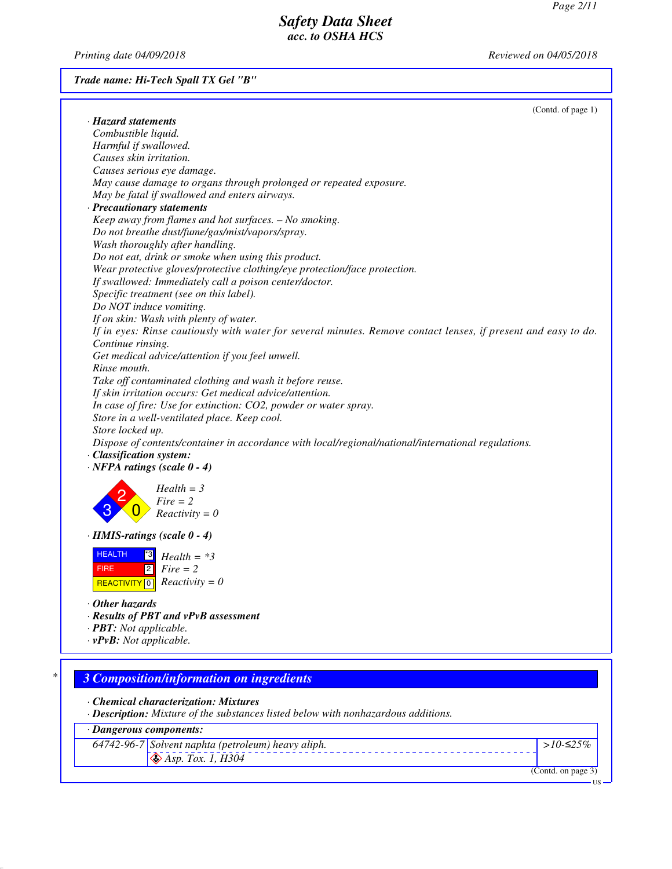*Printing date 04/09/2018 Reviewed on 04/05/2018*

*Trade name: Hi-Tech Spall TX Gel "B"*

|   | (Contd. of page 1)                                                                                             |
|---|----------------------------------------------------------------------------------------------------------------|
|   | · Hazard statements                                                                                            |
|   | Combustible liquid.                                                                                            |
|   | Harmful if swallowed.                                                                                          |
|   | Causes skin irritation.                                                                                        |
|   | Causes serious eye damage.                                                                                     |
|   | May cause damage to organs through prolonged or repeated exposure.                                             |
|   | May be fatal if swallowed and enters airways.                                                                  |
|   | · Precautionary statements                                                                                     |
|   | Keep away from flames and hot surfaces. - No smoking.                                                          |
|   | Do not breathe dust/fume/gas/mist/vapors/spray.                                                                |
|   | Wash thoroughly after handling.                                                                                |
|   | Do not eat, drink or smoke when using this product.                                                            |
|   | Wear protective gloves/protective clothing/eye protection/face protection.                                     |
|   | If swallowed: Immediately call a poison center/doctor.                                                         |
|   | Specific treatment (see on this label).                                                                        |
|   | Do NOT induce vomiting.                                                                                        |
|   |                                                                                                                |
|   | If on skin: Wash with plenty of water.                                                                         |
|   | If in eyes: Rinse cautiously with water for several minutes. Remove contact lenses, if present and easy to do. |
|   | Continue rinsing.                                                                                              |
|   | Get medical advice/attention if you feel unwell.                                                               |
|   | Rinse mouth.                                                                                                   |
|   | Take off contaminated clothing and wash it before reuse.                                                       |
|   | If skin irritation occurs: Get medical advice/attention.                                                       |
|   | In case of fire: Use for extinction: CO2, powder or water spray.                                               |
|   | Store in a well-ventilated place. Keep cool.                                                                   |
|   | Store locked up.                                                                                               |
|   | Dispose of contents/container in accordance with local/regional/national/international regulations.            |
|   | · Classification system:                                                                                       |
|   | $\cdot$ NFPA ratings (scale 0 - 4)                                                                             |
|   |                                                                                                                |
|   | $Health = 3$                                                                                                   |
|   | $Fire = 2$                                                                                                     |
|   | $Reactivity = 0$                                                                                               |
|   |                                                                                                                |
|   | · HMIS-ratings (scale 0 - 4)                                                                                   |
|   | <b>HEALTH</b><br>$^{\ast 3}$<br>$Health = *3$                                                                  |
|   |                                                                                                                |
|   | $\begin{bmatrix} 2 \\ \end{bmatrix}$ Fire = 2<br><b>FIRE</b>                                                   |
|   | REACTIVITY 0 $Reactivity = 0$                                                                                  |
|   | $\cdot$ Other hazards                                                                                          |
|   |                                                                                                                |
|   | · Results of PBT and vPvB assessment                                                                           |
|   | · <b>PBT</b> : Not applicable.                                                                                 |
|   | $\cdot v$ PvB: Not applicable.                                                                                 |
|   |                                                                                                                |
| * | <b>3 Composition/information on ingredients</b>                                                                |
|   |                                                                                                                |
|   | • Chemical characterization: Mixtures                                                                          |
|   | · Description: Mixture of the substances listed below with nonhazardous additions.                             |
|   |                                                                                                                |
|   | · Dangerous components:                                                                                        |
|   | 64742-96-7 Solvent naphta (petroleum) heavy aliph.<br>> $10-≤25%$                                              |
|   | $\bigotimes$ Asp. Tox. 1, H304                                                                                 |
|   |                                                                                                                |

(Contd. on page 3) US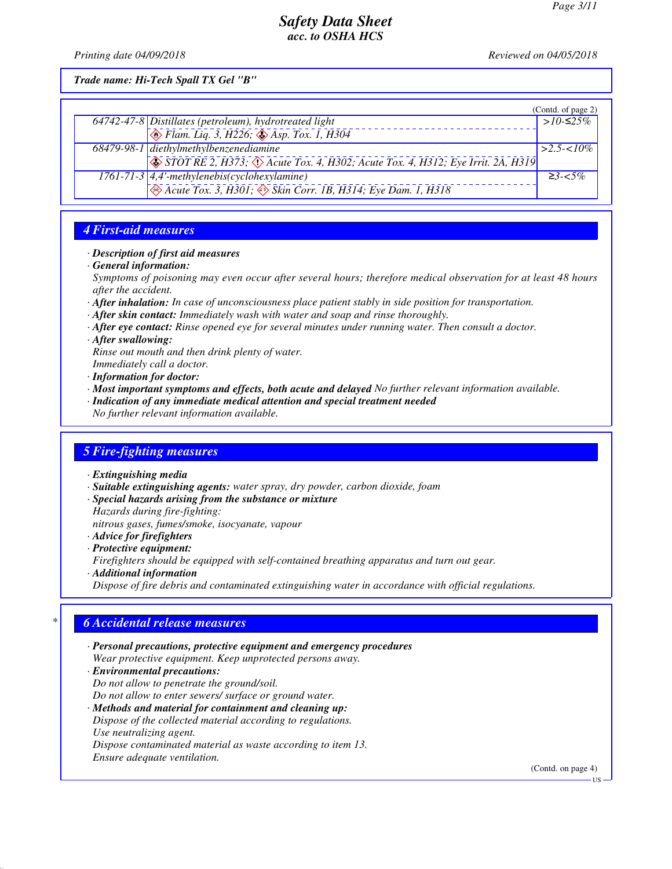*Printing date 04/09/2018 Reviewed on 04/05/2018*

*Trade name: Hi-Tech Spall TX Gel "B"*

|                                                                                                        | (Contd. of page 2) |
|--------------------------------------------------------------------------------------------------------|--------------------|
| $64742-47-8$ Distillates (petroleum), hydrotreated light                                               | $>10-525\%$        |
| $\bigotimes$ Flam. Liq. 3, H226; $\bigotimes$ Asp. Tox. 1, H304                                        |                    |
| 68479-98-1 diethylmethylbenzenediamine                                                                 | $\geq 2.5 < 10\%$  |
| $\bigotimes$ STOT RE 2, H373; $\bigotimes$ Acute Tox. 4, H302; Acute Tox. 4, H312; Eye Irrit. 2A, H319 |                    |
| $\overline{1761-71-3}$ 4,4'-methylenebis(cyclohexylamine)                                              | $\geq$ 3- $\lt$ 5% |
| $\leftrightarrow$ Acute Tox. 3, H301; $\leftrightarrow$ Skin Corr. 1B, H314; Eye Dam. 1, H318          |                    |

### *4 First-aid measures*

#### *· Description of first aid measures*

*· General information:*

*Symptoms of poisoning may even occur after several hours; therefore medical observation for at least 48 hours after the accident.*

- *· After inhalation: In case of unconsciousness place patient stably in side position for transportation.*
- *· After skin contact: Immediately wash with water and soap and rinse thoroughly.*
- *· After eye contact: Rinse opened eye for several minutes under running water. Then consult a doctor.*
- *· After swallowing:*

*Rinse out mouth and then drink plenty of water.*

*Immediately call a doctor.*

*· Information for doctor:*

- *· Most important symptoms and effects, both acute and delayed No further relevant information available.*
- *· Indication of any immediate medical attention and special treatment needed*

*No further relevant information available.*

#### *5 Fire-fighting measures*

- *· Extinguishing media*
- *· Suitable extinguishing agents: water spray, dry powder, carbon dioxide, foam*
- *· Special hazards arising from the substance or mixture*

*Hazards during fire-fighting:*

*nitrous gases, fumes/smoke, isocyanate, vapour*

- *· Advice for firefighters*
- *· Protective equipment:*

*Firefighters should be equipped with self-contained breathing apparatus and turn out gear.*

*· Additional information*

*Dispose of fire debris and contaminated extinguishing water in accordance with official regulations.*

#### *\* 6 Accidental release measures*

- *· Personal precautions, protective equipment and emergency procedures Wear protective equipment. Keep unprotected persons away. · Environmental precautions:*
- *Do not allow to penetrate the ground/soil. Do not allow to enter sewers/ surface or ground water.*
- *· Methods and material for containment and cleaning up: Dispose of the collected material according to regulations. Use neutralizing agent. Dispose contaminated material as waste according to item 13. Ensure adequate ventilation.*

(Contd. on page 4)

US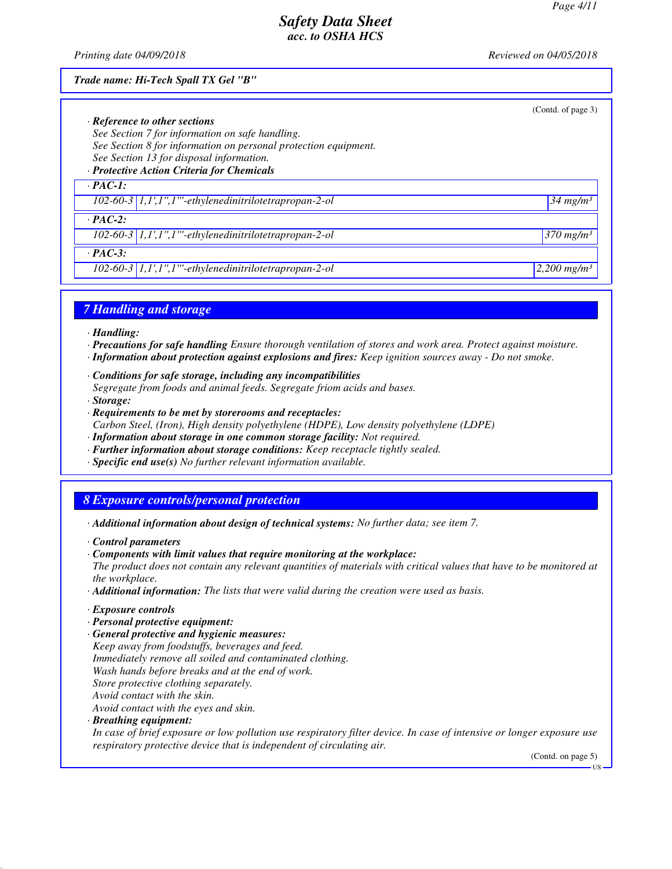*Printing date 04/09/2018 Reviewed on 04/05/2018*

#### *Trade name: Hi-Tech Spall TX Gel "B"*

|                                                                 | (Contd. of page 3)        |
|-----------------------------------------------------------------|---------------------------|
| $\cdot$ Reference to other sections                             |                           |
| See Section 7 for information on safe handling.                 |                           |
| See Section 8 for information on personal protection equipment. |                           |
| See Section 13 for disposal information.                        |                           |
| · Protective Action Criteria for Chemicals                      |                           |
| $\cdot$ PAC-1:                                                  |                           |
| $102-60-3$ 1,1',1",1"'-ethylenedinitrilotetrapropan-2-ol        | $34$ mg/m <sup>3</sup>    |
| $\cdot$ PAC-2:                                                  |                           |
| $102-60-3$   1,1',1",1"'-ethylenedinitrilotetrapropan-2-ol      | $1370$ mg/m <sup>3</sup>  |
| $\cdot$ PAC-3:                                                  |                           |
| $102-60-3$   $1,1',1'',1'''$ -ethylenedinitrilotetrapropan-2-ol | $2,200$ mg/m <sup>3</sup> |

#### *7 Handling and storage*

*· Handling:*

- *· Precautions for safe handling Ensure thorough ventilation of stores and work area. Protect against moisture.*
- *· Information about protection against explosions and fires: Keep ignition sources away Do not smoke.*
- *· Conditions for safe storage, including any incompatibilities Segregate from foods and animal feeds. Segregate friom acids and bases. · Storage:*
- *· Requirements to be met by storerooms and receptacles: Carbon Steel, (Iron), High density polyethylene (HDPE), Low density polyethylene (LDPE)*
- *· Information about storage in one common storage facility: Not required.*
- *· Further information about storage conditions: Keep receptacle tightly sealed.*
- *· Specific end use(s) No further relevant information available.*

# *8 Exposure controls/personal protection*

- *· Additional information about design of technical systems: No further data; see item 7.*
- *· Control parameters*
- *· Components with limit values that require monitoring at the workplace:*

*The product does not contain any relevant quantities of materials with critical values that have to be monitored at the workplace.*

- *· Additional information: The lists that were valid during the creation were used as basis.*
- *· Exposure controls*
- *· Personal protective equipment:*
- *· General protective and hygienic measures: Keep away from foodstuffs, beverages and feed. Immediately remove all soiled and contaminated clothing. Wash hands before breaks and at the end of work. Store protective clothing separately. Avoid contact with the skin. Avoid contact with the eyes and skin.*

*· Breathing equipment:*

*In case of brief exposure or low pollution use respiratory filter device. In case of intensive or longer exposure use respiratory protective device that is independent of circulating air.*

(Contd. on page 5)

US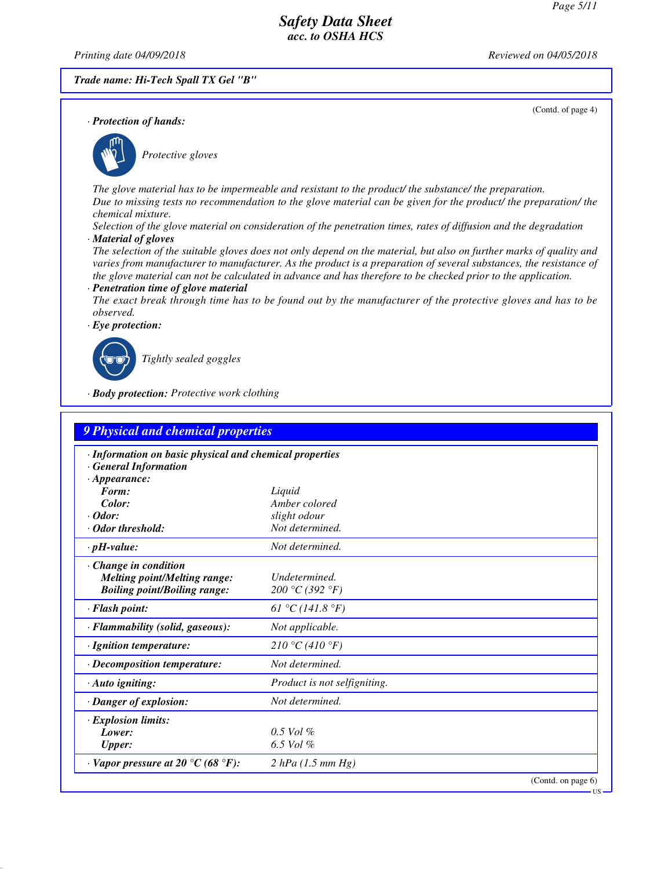*Printing date 04/09/2018 Reviewed on 04/05/2018*

*· Protection of hands:*

#### *Trade name: Hi-Tech Spall TX Gel "B"*

(Contd. of page 4)



\_S*Protective gloves*

*The glove material has to be impermeable and resistant to the product/ the substance/ the preparation. Due to missing tests no recommendation to the glove material can be given for the product/ the preparation/ the chemical mixture.*

*Selection of the glove material on consideration of the penetration times, rates of diffusion and the degradation · Material of gloves*

*The selection of the suitable gloves does not only depend on the material, but also on further marks of quality and varies from manufacturer to manufacturer. As the product is a preparation of several substances, the resistance of the glove material can not be calculated in advance and has therefore to be checked prior to the application.*

*· Penetration time of glove material*

*The exact break through time has to be found out by the manufacturer of the protective gloves and has to be observed.*

*· Eye protection:*



\_R*Tightly sealed goggles*

*· Body protection: Protective work clothing*

| · Information on basic physical and chemical properties               |                              |  |  |  |  |  |
|-----------------------------------------------------------------------|------------------------------|--|--|--|--|--|
| <b>General Information</b>                                            |                              |  |  |  |  |  |
| $\cdot$ Appearance:                                                   |                              |  |  |  |  |  |
| Form:                                                                 | Liquid                       |  |  |  |  |  |
| Color:                                                                | Amber colored                |  |  |  |  |  |
| $\cdot$ Odor:                                                         | slight odour                 |  |  |  |  |  |
| · Odor threshold:                                                     | Not determined.              |  |  |  |  |  |
| $\cdot$ pH-value:                                                     | Not determined.              |  |  |  |  |  |
| Change in condition                                                   |                              |  |  |  |  |  |
| <b>Melting point/Melting range:</b>                                   | Undetermined.                |  |  |  |  |  |
| <b>Boiling point/Boiling range:</b>                                   | 200 °C (392 °F)              |  |  |  |  |  |
| $\cdot$ Flash point:                                                  | 61 °C (141.8 °F)             |  |  |  |  |  |
| · Flammability (solid, gaseous):                                      | Not applicable.              |  |  |  |  |  |
| · Ignition temperature:                                               | 210 °C (410 °F)              |  |  |  |  |  |
| $\cdot$ Decomposition temperature:                                    | Not determined.              |  |  |  |  |  |
| · Auto igniting:                                                      | Product is not selfigniting. |  |  |  |  |  |
| · Danger of explosion:                                                | Not determined.              |  |  |  |  |  |
| <b>Explosion limits:</b>                                              |                              |  |  |  |  |  |
| Lower:                                                                | $0.5$ Vol $%$                |  |  |  |  |  |
| <b>Upper:</b>                                                         | 6.5 Vol $%$                  |  |  |  |  |  |
| $\cdot$ Vapor pressure at 20 $\rm{^{\circ}C}$ (68 $\rm{^{\circ}F}$ ): | 2 hPa (1.5 mm Hg)            |  |  |  |  |  |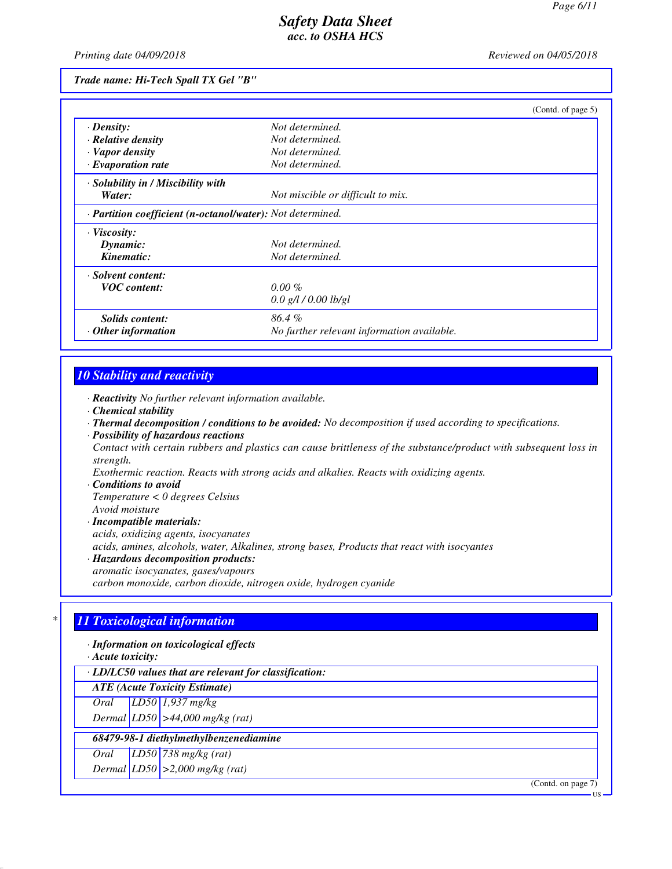*Printing date 04/09/2018 Reviewed on 04/05/2018*

*Trade name: Hi-Tech Spall TX Gel "B"*

|                                                            | (Contd. of page 5)                         |  |
|------------------------------------------------------------|--------------------------------------------|--|
| $\cdot$ Density:                                           | Not determined.                            |  |
| · Relative density                                         | Not determined.                            |  |
| · Vapor density                                            | Not determined.                            |  |
| $\cdot$ Evaporation rate                                   | Not determined.                            |  |
| · Solubility in / Miscibility with                         |                                            |  |
| Water:                                                     | Not miscible or difficult to mix.          |  |
| · Partition coefficient (n-octanol/water): Not determined. |                                            |  |
| $\cdot$ Viscosity:                                         |                                            |  |
| Dynamic:                                                   | Not determined.                            |  |
| Kinematic:                                                 | Not determined.                            |  |
| · Solvent content:                                         |                                            |  |
| <b>VOC</b> content:                                        | $0.00 \%$                                  |  |
|                                                            | $0.0$ g/l / $0.00$ lb/gl                   |  |
| Solids content:                                            | 86.4%                                      |  |
| $\cdot$ Other information                                  | No further relevant information available. |  |

### *10 Stability and reactivity*

*· Reactivity No further relevant information available.*

- *· Chemical stability*
- *· Thermal decomposition / conditions to be avoided: No decomposition if used according to specifications.*
- *· Possibility of hazardous reactions*

*Contact with certain rubbers and plastics can cause brittleness of the substance/product with subsequent loss in strength.*

*Exothermic reaction. Reacts with strong acids and alkalies. Reacts with oxidizing agents.*

*· Conditions to avoid*

*Temperature < 0 degrees Celsius Avoid moisture*

*· Incompatible materials: acids, oxidizing agents, isocyanates acids, amines, alcohols, water, Alkalines, strong bases, Products that react with isocyantes · Hazardous decomposition products: aromatic isocyanates, gases/vapours*

*carbon monoxide, carbon dioxide, nitrogen oxide, hydrogen cyanide*

# *\* 11 Toxicological information*

*· Information on toxicological effects*

*· Acute toxicity:*

*· LD/LC50 values that are relevant for classification:*

*ATE (Acute Toxicity Estimate)*

*Oral LD50 1,937 mg/kg*

*Dermal LD50 >44,000 mg/kg (rat)*

 *68479-98-1 diethylmethylbenzenediamine*

*Oral LD50 738 mg/kg (rat)*

*Dermal LD50 >2,000 mg/kg (rat)*

(Contd. on page 7)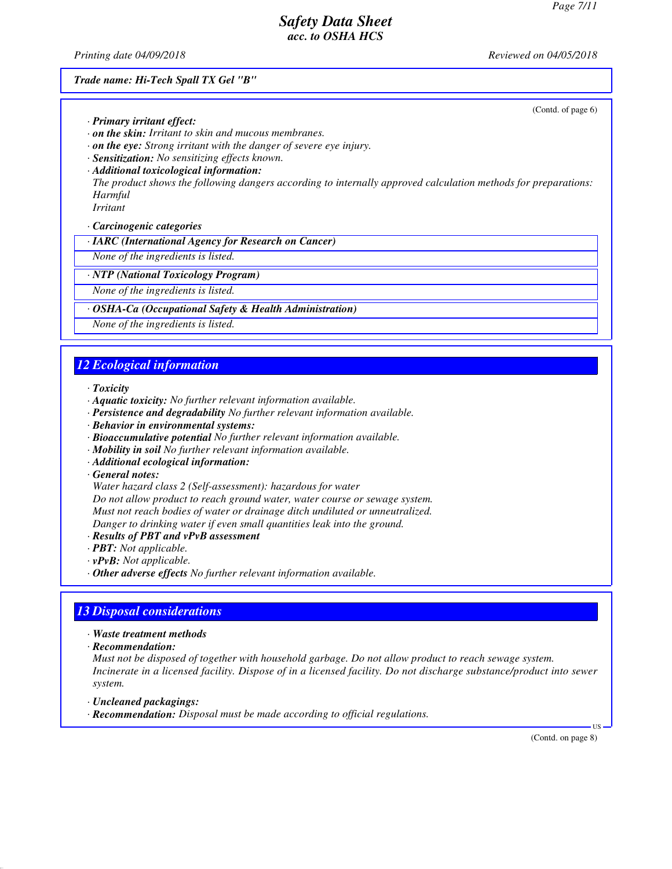*Printing date 04/09/2018 Reviewed on 04/05/2018*

#### *Trade name: Hi-Tech Spall TX Gel "B"*

(Contd. of page 6)

- *· Primary irritant effect:*
- *· on the skin: Irritant to skin and mucous membranes.*
- *· on the eye: Strong irritant with the danger of severe eye injury.*
- *· Sensitization: No sensitizing effects known.*
- *· Additional toxicological information:*

*The product shows the following dangers according to internally approved calculation methods for preparations: Harmful*

*Irritant*

*· Carcinogenic categories*

*· IARC (International Agency for Research on Cancer)*

*None of the ingredients is listed.*

#### *· NTP (National Toxicology Program)*

*None of the ingredients is listed.*

#### *· OSHA-Ca (Occupational Safety & Health Administration)*

*None of the ingredients is listed.*

#### *12 Ecological information*

#### *· Toxicity*

- *· Aquatic toxicity: No further relevant information available.*
- *· Persistence and degradability No further relevant information available.*
- *· Behavior in environmental systems:*
- *· Bioaccumulative potential No further relevant information available.*
- *· Mobility in soil No further relevant information available.*
- *· Additional ecological information:*

#### *· General notes:*

*Water hazard class 2 (Self-assessment): hazardous for water Do not allow product to reach ground water, water course or sewage system. Must not reach bodies of water or drainage ditch undiluted or unneutralized. Danger to drinking water if even small quantities leak into the ground.*

- *· Results of PBT and vPvB assessment*
- *· PBT: Not applicable.*
- *· vPvB: Not applicable.*
- *· Other adverse effects No further relevant information available.*

### *13 Disposal considerations*

- *· Waste treatment methods*
- *· Recommendation:*

*Must not be disposed of together with household garbage. Do not allow product to reach sewage system. Incinerate in a licensed facility. Dispose of in a licensed facility. Do not discharge substance/product into sewer system.*

- *· Uncleaned packagings:*
- *· Recommendation: Disposal must be made according to official regulations.*

(Contd. on page 8)

US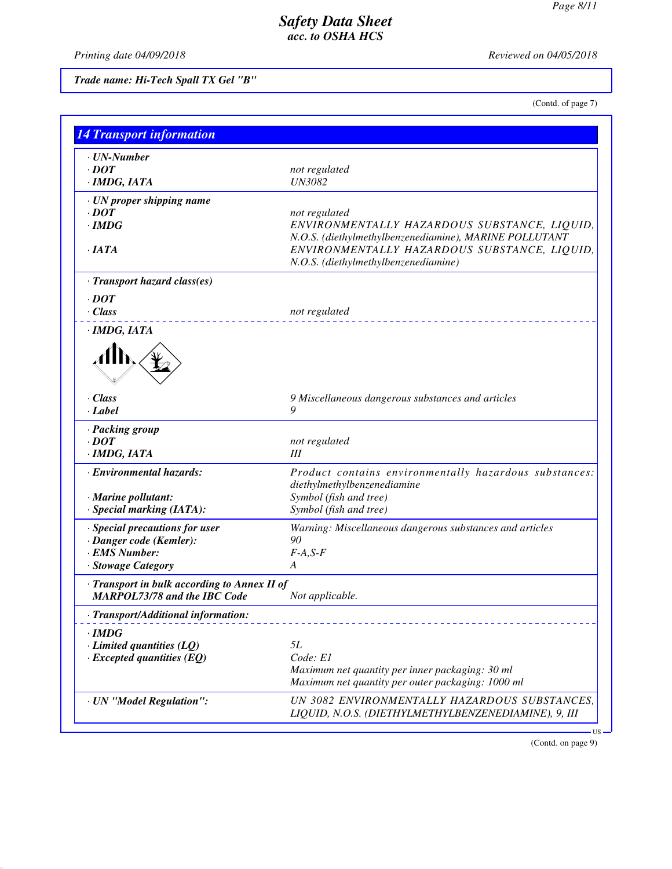*Printing date 04/09/2018 Reviewed on 04/05/2018*

# *Trade name: Hi-Tech Spall TX Gel "B"*

(Contd. of page 7)

| · <b><i>UN-Number</i></b>                    |                                                                                      |
|----------------------------------------------|--------------------------------------------------------------------------------------|
| $\cdot$ DOT                                  | not regulated<br><b>UN3082</b>                                                       |
| · IMDG, IATA                                 |                                                                                      |
| · UN proper shipping name                    |                                                                                      |
| $\cdot$ DOT                                  | not regulated                                                                        |
| $\cdot$ IMDG                                 | ENVIRONMENTALLY HAZARDOUS SUBSTANCE, LIQUID,                                         |
|                                              | N.O.S. (diethylmethylbenzenediamine), MARINE POLLUTANT                               |
| $\cdot$ IATA                                 | ENVIRONMENTALLY HAZARDOUS SUBSTANCE, LIQUID,<br>N.O.S. (diethylmethylbenzenediamine) |
|                                              |                                                                                      |
| · Transport hazard class(es)                 |                                                                                      |
| $\cdot$ <i>DOT</i>                           |                                                                                      |
| · Class                                      | not regulated                                                                        |
| · IMDG, IATA                                 |                                                                                      |
|                                              |                                                                                      |
|                                              |                                                                                      |
|                                              |                                                                                      |
|                                              |                                                                                      |
| · Class                                      | 9 Miscellaneous dangerous substances and articles                                    |
| · Label                                      | 9                                                                                    |
| · Packing group                              |                                                                                      |
| $\cdot$ <i>DOT</i>                           | not regulated                                                                        |
| · IMDG, IATA                                 | Ш                                                                                    |
| · Environmental hazards:                     | Product contains environmentally hazardous substances:                               |
|                                              | diethylmethylbenzenediamine                                                          |
| · Marine pollutant:                          | Symbol (fish and tree)                                                               |
| · Special marking (IATA):                    | Symbol (fish and tree)                                                               |
| · Special precautions for user               | Warning: Miscellaneous dangerous substances and articles                             |
| · Danger code (Kemler):                      | 90                                                                                   |
| · EMS Number:                                | $F-A, S-F$                                                                           |
| · Stowage Category                           | A                                                                                    |
| · Transport in bulk according to Annex II of |                                                                                      |
| <b>MARPOL73/78 and the IBC Code</b>          | Not applicable.                                                                      |
| Transport/Additional information:            |                                                                                      |
| · IMDG                                       |                                                                                      |
| $\cdot$ Limited quantities (LQ)              | 5L                                                                                   |
| $\cdot$ Excepted quantities (EQ)             | Code: E1                                                                             |
|                                              | Maximum net quantity per inner packaging: 30 ml                                      |
|                                              | Maximum net quantity per outer packaging: 1000 ml                                    |
| · UN "Model Regulation":                     | UN 3082 ENVIRONMENTALLY HAZARDOUS SUBSTANCES,                                        |
|                                              |                                                                                      |

(Contd. on page 9)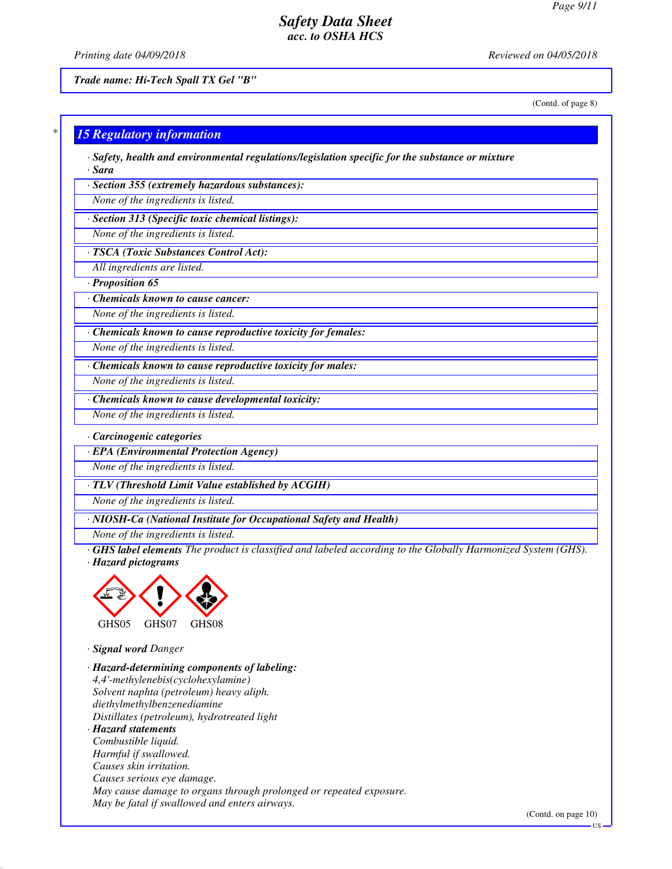*Printing date 04/09/2018 Reviewed on 04/05/2018*

*Trade name: Hi-Tech Spall TX Gel "B"*

(Contd. of page 8)

#### *\* 15 Regulatory information*

*· Safety, health and environmental regulations/legislation specific for the substance or mixture · Sara*

*· Section 355 (extremely hazardous substances):*

*None of the ingredients is listed.*

*· Section 313 (Specific toxic chemical listings):*

*None of the ingredients is listed.*

*· TSCA (Toxic Substances Control Act):*

*All ingredients are listed.*

*· Proposition 65*

*· Chemicals known to cause cancer:*

*None of the ingredients is listed.*

*· Chemicals known to cause reproductive toxicity for females:*

*None of the ingredients is listed.*

*· Chemicals known to cause reproductive toxicity for males:*

*None of the ingredients is listed.*

*· Chemicals known to cause developmental toxicity:*

*None of the ingredients is listed.*

*· Carcinogenic categories*

*· EPA (Environmental Protection Agency)*

*None of the ingredients is listed.*

*· TLV (Threshold Limit Value established by ACGIH)*

*None of the ingredients is listed.*

*· NIOSH-Ca (National Institute for Occupational Safety and Health)*

*None of the ingredients is listed.*

*· GHS label elements The product is classified and labeled according to the Globally Harmonized System (GHS). · Hazard pictograms*



*· Signal word Danger*

*· Hazard-determining components of labeling: 4,4'-methylenebis(cyclohexylamine) Solvent naphta (petroleum) heavy aliph. diethylmethylbenzenediamine Distillates (petroleum), hydrotreated light · Hazard statements Combustible liquid. Harmful if swallowed. Causes skin irritation. Causes serious eye damage. May cause damage to organs through prolonged or repeated exposure. May be fatal if swallowed and enters airways.*

(Contd. on page 10)

US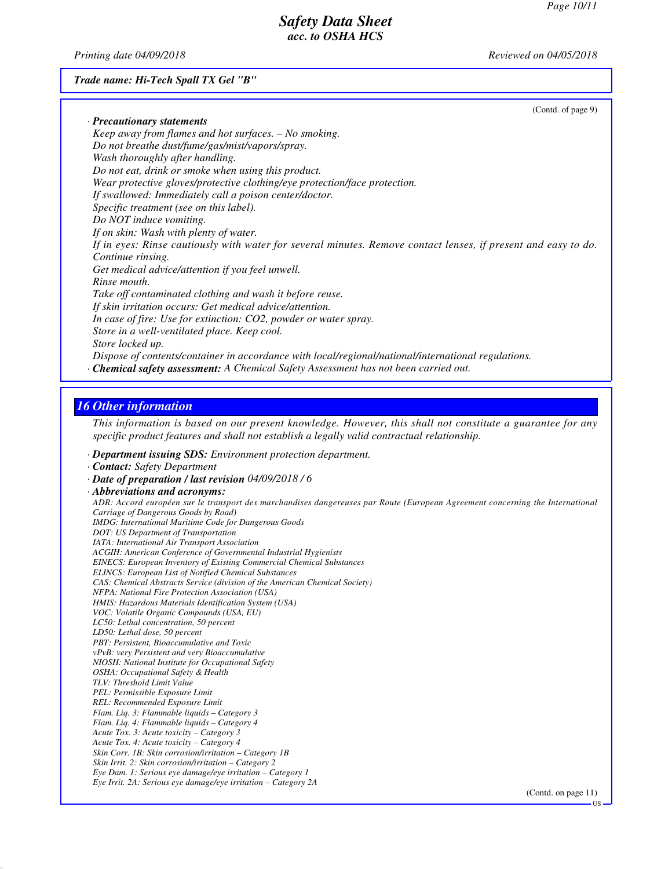*Printing date 04/09/2018 Reviewed on 04/05/2018*

*Trade name: Hi-Tech Spall TX Gel "B"*

| (Contd. of page 9)                                                                                             |  |
|----------------------------------------------------------------------------------------------------------------|--|
| $\cdot$ Precautionary statements                                                                               |  |
| Keep away from flames and hot surfaces. $-$ No smoking.                                                        |  |
| Do not breathe dust/fume/gas/mist/vapors/spray.                                                                |  |
| Wash thoroughly after handling.                                                                                |  |
| Do not eat, drink or smoke when using this product.                                                            |  |
| Wear protective gloves/protective clothing/eye protection/face protection.                                     |  |
| If swallowed: Immediately call a poison center/doctor.                                                         |  |
| Specific treatment (see on this label).                                                                        |  |
| Do NOT induce vomiting.                                                                                        |  |
| If on skin: Wash with plenty of water.                                                                         |  |
| If in eyes: Rinse cautiously with water for several minutes. Remove contact lenses, if present and easy to do. |  |
| Continue rinsing.                                                                                              |  |
| Get medical advice/attention if you feel unwell.                                                               |  |
| Rinse mouth.                                                                                                   |  |
| Take off contaminated clothing and wash it before reuse.                                                       |  |
| If skin irritation occurs: Get medical advice/attention.                                                       |  |
| In case of fire: Use for extinction: CO2, powder or water spray.                                               |  |
| Store in a well-ventilated place. Keep cool.                                                                   |  |
| Store locked up.                                                                                               |  |
| Dispose of contents/container in accordance with local/regional/national/international regulations.            |  |
| <b>Chemical safety assessment:</b> A Chemical Safety Assessment has not been carried out.                      |  |
|                                                                                                                |  |

# *16 Other information*

*This information is based on our present knowledge. However, this shall not constitute a guarantee for any specific product features and shall not establish a legally valid contractual relationship.*

- *· Department issuing SDS: Environment protection department.*
- *· Contact: Safety Department*

*<sup>·</sup> Date of preparation / last revision 04/09/2018 / 6 · Abbreviations and acronyms: ADR: Accord européen sur le transport des marchandises dangereuses par Route (European Agreement concerning the International Carriage of Dangerous Goods by Road) IMDG: International Maritime Code for Dangerous Goods DOT: US Department of Transportation IATA: International Air Transport Association ACGIH: American Conference of Governmental Industrial Hygienists EINECS: European Inventory of Existing Commercial Chemical Substances ELINCS: European List of Notified Chemical Substances CAS: Chemical Abstracts Service (division of the American Chemical Society) NFPA: National Fire Protection Association (USA) HMIS: Hazardous Materials Identification System (USA) VOC: Volatile Organic Compounds (USA, EU) LC50: Lethal concentration, 50 percent LD50: Lethal dose, 50 percent PBT: Persistent, Bioaccumulative and Toxic vPvB: very Persistent and very Bioaccumulative NIOSH: National Institute for Occupational Safety OSHA: Occupational Safety & Health TLV: Threshold Limit Value PEL: Permissible Exposure Limit REL: Recommended Exposure Limit Flam. Liq. 3: Flammable liquids – Category 3 Flam. Liq. 4: Flammable liquids – Category 4 Acute Tox. 3: Acute toxicity – Category 3 Acute Tox. 4: Acute toxicity – Category 4 Skin Corr. 1B: Skin corrosion/irritation – Category 1B Skin Irrit. 2: Skin corrosion/irritation – Category 2 Eye Dam. 1: Serious eye damage/eye irritation – Category 1 Eye Irrit. 2A: Serious eye damage/eye irritation – Category 2A*